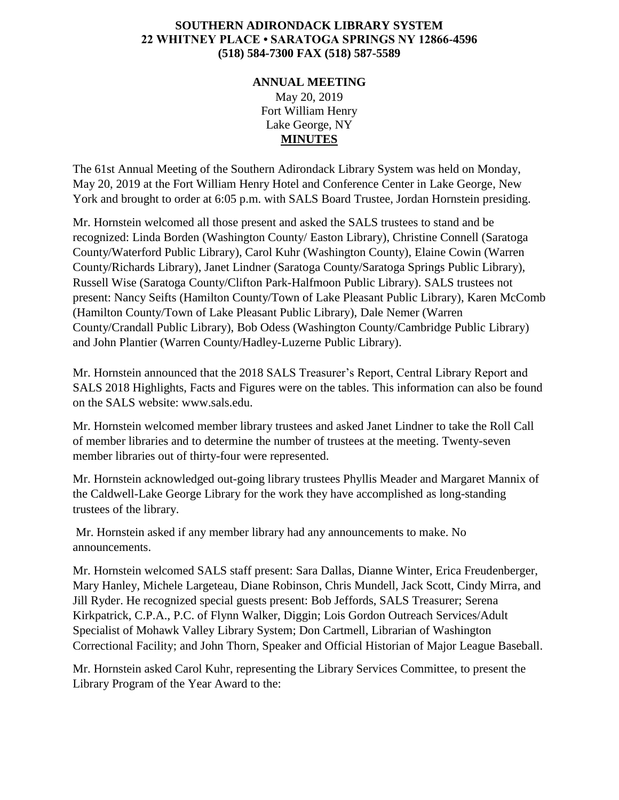## **SOUTHERN ADIRONDACK LIBRARY SYSTEM 22 WHITNEY PLACE • SARATOGA SPRINGS NY 12866-4596 (518) 584-7300 FAX (518) 587-5589**

## **ANNUAL MEETING** May 20, 2019 Fort William Henry Lake George, NY **MINUTES**

The 61st Annual Meeting of the Southern Adirondack Library System was held on Monday, May 20, 2019 at the Fort William Henry Hotel and Conference Center in Lake George, New York and brought to order at 6:05 p.m. with SALS Board Trustee, Jordan Hornstein presiding.

Mr. Hornstein welcomed all those present and asked the SALS trustees to stand and be recognized: Linda Borden (Washington County/ Easton Library), Christine Connell (Saratoga County/Waterford Public Library), Carol Kuhr (Washington County), Elaine Cowin (Warren County/Richards Library), Janet Lindner (Saratoga County/Saratoga Springs Public Library), Russell Wise (Saratoga County/Clifton Park-Halfmoon Public Library). SALS trustees not present: Nancy Seifts (Hamilton County/Town of Lake Pleasant Public Library), Karen McComb (Hamilton County/Town of Lake Pleasant Public Library), Dale Nemer (Warren County/Crandall Public Library), Bob Odess (Washington County/Cambridge Public Library) and John Plantier (Warren County/Hadley-Luzerne Public Library).

Mr. Hornstein announced that the 2018 SALS Treasurer's Report, Central Library Report and SALS 2018 Highlights, Facts and Figures were on the tables. This information can also be found on the SALS website: www.sals.edu.

Mr. Hornstein welcomed member library trustees and asked Janet Lindner to take the Roll Call of member libraries and to determine the number of trustees at the meeting. Twenty-seven member libraries out of thirty-four were represented.

Mr. Hornstein acknowledged out-going library trustees Phyllis Meader and Margaret Mannix of the Caldwell-Lake George Library for the work they have accomplished as long-standing trustees of the library.

Mr. Hornstein asked if any member library had any announcements to make. No announcements.

Mr. Hornstein welcomed SALS staff present: Sara Dallas, Dianne Winter, Erica Freudenberger, Mary Hanley, Michele Largeteau, Diane Robinson, Chris Mundell, Jack Scott, Cindy Mirra, and Jill Ryder. He recognized special guests present: Bob Jeffords, SALS Treasurer; Serena Kirkpatrick, C.P.A., P.C. of Flynn Walker, Diggin; Lois Gordon Outreach Services/Adult Specialist of Mohawk Valley Library System; Don Cartmell, Librarian of Washington Correctional Facility; and John Thorn, Speaker and Official Historian of Major League Baseball.

Mr. Hornstein asked Carol Kuhr, representing the Library Services Committee, to present the Library Program of the Year Award to the: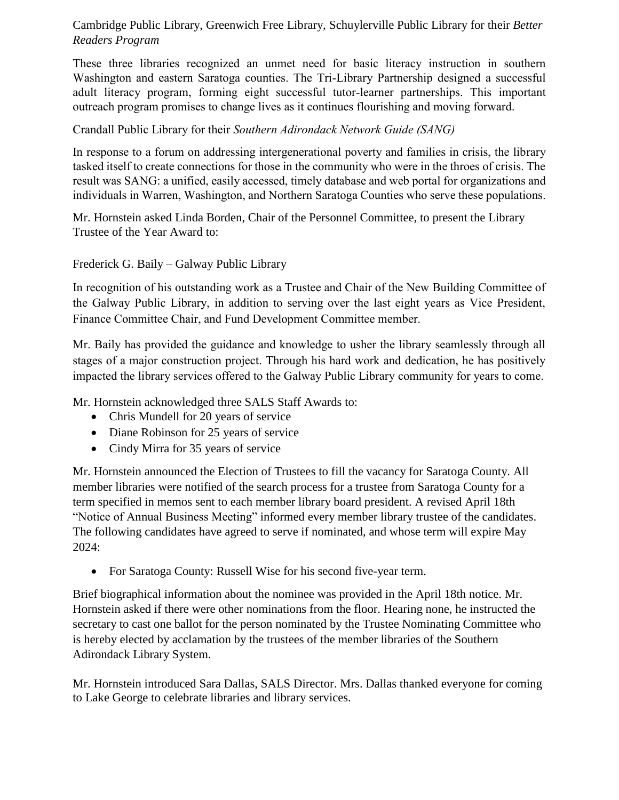## Cambridge Public Library, Greenwich Free Library, Schuylerville Public Library for their *Better Readers Program*

These three libraries recognized an unmet need for basic literacy instruction in southern Washington and eastern Saratoga counties. The Tri-Library Partnership designed a successful adult literacy program, forming eight successful tutor-learner partnerships. This important outreach program promises to change lives as it continues flourishing and moving forward.

## Crandall Public Library for their *Southern Adirondack Network Guide (SANG)*

In response to a forum on addressing intergenerational poverty and families in crisis, the library tasked itself to create connections for those in the community who were in the throes of crisis. The result was SANG: a unified, easily accessed, timely database and web portal for organizations and individuals in Warren, Washington, and Northern Saratoga Counties who serve these populations.

Mr. Hornstein asked Linda Borden, Chair of the Personnel Committee, to present the Library Trustee of the Year Award to:

Frederick G. Baily – Galway Public Library

In recognition of his outstanding work as a Trustee and Chair of the New Building Committee of the Galway Public Library, in addition to serving over the last eight years as Vice President, Finance Committee Chair, and Fund Development Committee member.

Mr. Baily has provided the guidance and knowledge to usher the library seamlessly through all stages of a major construction project. Through his hard work and dedication, he has positively impacted the library services offered to the Galway Public Library community for years to come.

Mr. Hornstein acknowledged three SALS Staff Awards to:

- Chris Mundell for 20 years of service
- Diane Robinson for 25 years of service
- Cindy Mirra for 35 years of service

Mr. Hornstein announced the Election of Trustees to fill the vacancy for Saratoga County. All member libraries were notified of the search process for a trustee from Saratoga County for a term specified in memos sent to each member library board president. A revised April 18th "Notice of Annual Business Meeting" informed every member library trustee of the candidates. The following candidates have agreed to serve if nominated, and whose term will expire May 2024:

For Saratoga County: Russell Wise for his second five-year term.

Brief biographical information about the nominee was provided in the April 18th notice. Mr. Hornstein asked if there were other nominations from the floor. Hearing none, he instructed the secretary to cast one ballot for the person nominated by the Trustee Nominating Committee who is hereby elected by acclamation by the trustees of the member libraries of the Southern Adirondack Library System.

Mr. Hornstein introduced Sara Dallas, SALS Director. Mrs. Dallas thanked everyone for coming to Lake George to celebrate libraries and library services.